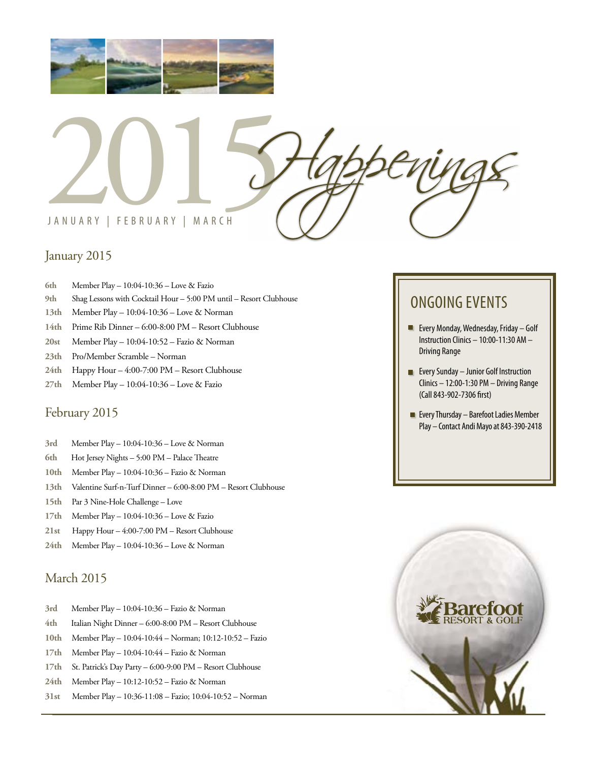



# January 2015

- **6th** Member Play 10:04-10:36 Love & Fazio
- **9th** Shag Lessons with Cocktail Hour 5:00 PM until Resort Clubhouse
- **13th** Member Play 10:04-10:36 Love & Norman
- **14th** Prime Rib Dinner 6:00-8:00 PM Resort Clubhouse
- **20st** Member Play 10:04-10:52 Fazio & Norman
- **23th** Pro/Member Scramble Norman
- **24th** Happy Hour 4:00-7:00 PM Resort Clubhouse
- **27th** Member Play 10:04-10:36 Love & Fazio

# February 2015

- **3rd** Member Play 10:04-10:36 Love & Norman
- **6th** Hot Jersey Nights 5:00 PM Palace Theatre
- **10th** Member Play 10:04-10:36 Fazio & Norman
- **13th** Valentine Surf-n-Turf Dinner 6:00-8:00 PM Resort Clubhouse
- **15th** Par 3 Nine-Hole Challenge Love
- **17th** Member Play 10:04-10:36 Love & Fazio
- **21st** Happy Hour 4:00-7:00 PM Resort Clubhouse
- **24th** Member Play 10:04-10:36 Love & Norman

# March 2015

- **3rd** Member Play 10:04-10:36 Fazio & Norman
- **4th** Italian Night Dinner 6:00-8:00 PM Resort Clubhouse
- **10th** Member Play 10:04-10:44 Norman; 10:12-10:52 Fazio
- **17th** Member Play 10:04-10:44 Fazio & Norman
- **17th** St. Patrick's Day Party 6:00-9:00 PM Resort Clubhouse
- **24th** Member Play 10:12-10:52 Fazio & Norman
- **31st** Member Play 10:36-11:08 Fazio; 10:04-10:52 Norman

# ONGOING EVENTS

- **Every Monday, Wednesday, Friday Golf** Instruction Clinics – 10:00-11:30 AM – Driving Range
- **Every Sunday Junior Golf Instruction** Clinics – 12:00-1:30 PM – Driving Range (Call 843-902-7306 first)
- **Every Thursday Barefoot Ladies Member** Play – Contact Andi Mayo at 843-390-2418